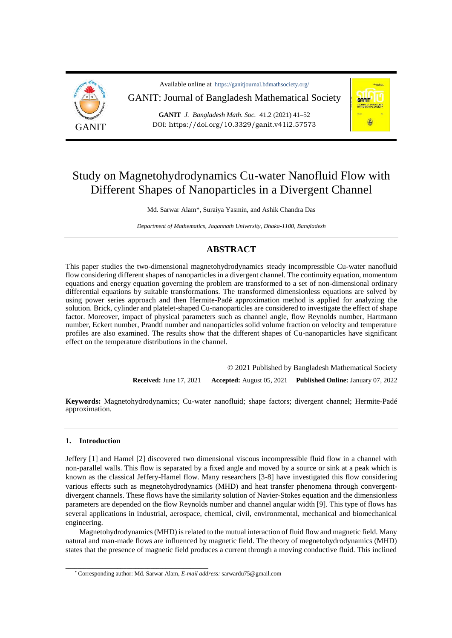

Available online at https://ganitjournal.bdmathsociety.org/

GANIT: Journal of Bangladesh Mathematical Society

**GANIT** *J. Bangladesh Math. Soc.* 41.2 (2021) 41–52 DOI: [https://doi.org/10.3329/ganit.v41i2.57573](https://doi.org/10.3329/ganit.)



# Study on Magnetohydrodynamics Cu-water Nanofluid Flow with Different Shapes of Nanoparticles in a Divergent Channel

Md. Sarwar Alam\*, Suraiya Yasmin, and Ashik Chandra Das

*Department of Mathematics, Jagannath University, Dhaka-1100, Bangladesh*

# **ABSTRACT**

This paper studies the two-dimensional magnetohydrodynamics steady incompressible Cu-water nanofluid flow considering different shapes of nanoparticles in a divergent channel. The continuity equation, momentum equations and energy equation governing the problem are transformed to a set of non-dimensional ordinary differential equations by suitable transformations. The transformed dimensionless equations are solved by using power series approach and then Hermite-Padé approximation method is applied for analyzing the solution. Brick, cylinder and platelet-shaped Cu-nanoparticles are considered to investigate the effect of shape factor. Moreover, impact of physical parameters such as channel angle, flow Reynolds number, Hartmann number, Eckert number, Prandtl number and nanoparticles solid volume fraction on velocity and temperature profiles are also examined. The results show that the different shapes of Cu-nanoparticles have significant effect on the temperature distributions in the channel.

> © 2021 Published by Bangladesh Mathematical Society **Received:** June 17, 2021 **Accepted:** August 05, 2021 **Published Online:** January 07, 2022

**Keywords:** Magnetohydrodynamics; Cu-water nanofluid; shape factors; divergent channel; Hermite-Padé approximation.

## **1. Introduction**

Jeffery [1] and Hamel [2] discovered two dimensional viscous incompressible fluid flow in a channel with non-parallel walls. This flow is separated by a fixed angle and moved by a source or sink at a peak which is known as the classical Jeffery-Hamel flow. Many researchers [3-8] have investigated this flow considering various effects such as megnetohydrodynamics (MHD) and heat transfer phenomena through convergentdivergent channels. These flows have the similarity solution of Navier-Stokes equation and the dimensionless parameters are depended on the flow Reynolds number and channel angular width [9]. This type of flows has several applications in industrial, aerospace, chemical, civil, environmental, mechanical and biomechanical engineering.

Magnetohydrodynamics (MHD) is related to the mutual interaction of fluid flow and magnetic field. Many natural and man-made flows are influenced by magnetic field. The theory of megnetohydrodynamics (MHD) states that the presence of magnetic field produces a current through a moving conductive fluid. This inclined

\_\_\_\_\_\_\_\_\_\_\_\_\_\_\_\_\_\_\_\_\_\_\_\_\_\_\_\_\_\_\_\_\_\_\_\_\_\_\_\_\_\_\_\_\_\_\_

<sup>\*</sup> Corresponding author: Md. Sarwar Alam, *E-mail address:* [sarwardu75@gmail.com](mailto:sarwardu75@gmail.com)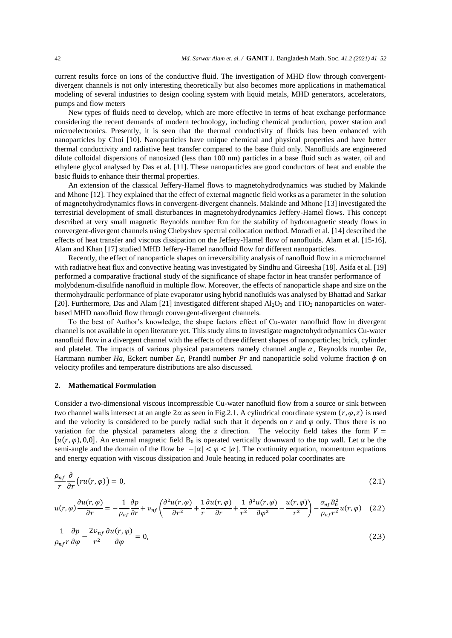current results force on ions of the conductive fluid. The investigation of MHD flow through convergentdivergent channels is not only interesting theoretically but also becomes more applications in mathematical modeling of several industries to design cooling system with liquid metals, MHD generators, accelerators, pumps and flow meters

New types of fluids need to develop, which are more effective in terms of heat exchange performance considering the recent demands of modern technology, including chemical production, power station and microelectronics. Presently, it is seen that the thermal conductivity of fluids has been enhanced with nanoparticles by Choi [10]. Nanoparticles have unique chemical and physical properties and have better thermal conductivity and radiative heat transfer compared to the base fluid only. Nanofluids are engineered dilute colloidal dispersions of nanosized (less than 100 nm) particles in a base fluid such as water, oil and ethylene glycol analysed by Das et al. [11]. These nanoparticles are good conductors of heat and enable the basic fluids to enhance their thermal properties.

An extension of the classical Jeffery-Hamel flows to magnetohydrodynamics was studied by Makinde and Mhone [12]. They explained that the effect of external magnetic field works as a parameter in the solution of magnetohydrodynamics flows in convergent-divergent channels. Makinde and Mhone [13] investigated the terrestrial development of small disturbances in magnetohydrodynamics Jeffery-Hamel flows. This concept described at very small magnetic Reynolds number Rm for the stability of hydromagnetic steady flows in convergent-divergent channels using Chebyshev spectral collocation method. Moradi et al. [14] described the effects of heat transfer and viscous dissipation on the Jeffery-Hamel flow of nanofluids. Alam et al. [15-16], Alam and Khan [17] studied MHD Jeffery-Hamel nanofluid flow for different nanoparticles.

Recently, the effect of nanoparticle shapes on irreversibility analysis of nanofluid flow in a microchannel with radiative heat flux and convective heating was investigated by Sindhu and Gireesha [18]. Asifa et al. [19] performed a comparative fractional study of the significance of shape factor in heat transfer performance of molybdenum-disulfide nanofluid in multiple flow. Moreover, the effects of nanoparticle shape and size on the thermohydraulic performance of plate evaporator using hybrid nanofluids was analysed by Bhattad and Sarkar [20]. Furthermore, Das and Alam [21] investigated different shaped  $Al_2O_3$  and TiO<sub>2</sub> nanoparticles on waterbased MHD nanofluid flow through convergent-divergent channels.

To the best of Author's knowledge, the shape factors effect of Cu-water nanofluid flow in divergent channel is not available in open literature yet. This study aims to investigate magnetohydrodynamics Cu-water nanofluid flow in a divergent channel with the effects of three different shapes of nanoparticles; brick, cylinder and platelet. The impacts of various physical parameters namely channel angle  $\alpha$ , Reynolds number  $Re$ , Hartmann number  $Ha$ , Eckert number  $Ec$ , Prandtl number  $Pr$  and nanoparticle solid volume fraction  $\phi$  on velocity profiles and temperature distributions are also discussed.

#### **2. Mathematical Formulation**

Consider a two-dimensional viscous incompressible Cu-water nanofluid flow from a source or sink between two channel walls intersect at an angle  $2\alpha$  as seen in Fig.2.1. A cylindrical coordinate system  $(r, \varphi, z)$  is used and the velocity is considered to be purely radial such that it depends on  $r$  and  $\varphi$  only. Thus there is no variation for the physical parameters along the z direction. The velocity field takes the form  $V =$ [ $u(r, \varphi)$ , 0,0]. An external magnetic field B<sub>0</sub> is operated vertically downward to the top wall. Let  $\alpha$  be the semi-angle and the domain of the flow be  $-|\alpha| < \varphi < |\alpha|$ . The continuity equation, momentum equations and energy equation with viscous dissipation and Joule heating in reduced polar coordinates are

$$
\frac{\rho_{nf}}{r}\frac{\partial}{\partial r}\left(ru(r,\varphi)\right) = 0,\tag{2.1}
$$

$$
u(r,\varphi)\frac{\partial u(r,\varphi)}{\partial r} = -\frac{1}{\rho_{nf}}\frac{\partial p}{\partial r} + v_{nf}\left(\frac{\partial^2 u(r,\varphi)}{\partial r^2} + \frac{1}{r}\frac{\partial u(r,\varphi)}{\partial r} + \frac{1}{r^2}\frac{\partial^2 u(r,\varphi)}{\partial \varphi^2} - \frac{u(r,\varphi)}{r^2}\right) - \frac{\sigma_{nf}B_0^2}{\rho_{nf}r^2}u(r,\varphi) \tag{2.2}
$$

$$
\frac{1}{\rho_{nf}r}\frac{\partial p}{\partial \varphi} - \frac{2v_{nf}}{r^2}\frac{\partial u(r,\varphi)}{\partial \varphi} = 0,
$$
\n(2.3)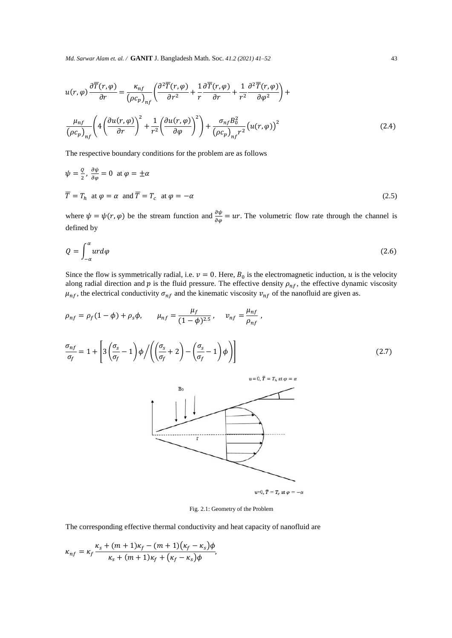*Md. Sarwar Alam et. al. /* **GANIT** J. Bangladesh Math. Soc. *41.2 (2021) 41–52* 43

$$
u(r,\varphi)\frac{\partial \overline{T}(r,\varphi)}{\partial r} = \frac{\kappa_{nf}}{(\rho c_p)_{nf}} \left(\frac{\partial^2 \overline{T}(r,\varphi)}{\partial r^2} + \frac{1}{r} \frac{\partial \overline{T}(r,\varphi)}{\partial r} + \frac{1}{r^2} \frac{\partial^2 \overline{T}(r,\varphi)}{\partial \varphi^2}\right) + \frac{\mu_{nf}}{(\rho c_p)_{nf}} \left(4\left(\frac{\partial u(r,\varphi)}{\partial r}\right)^2 + \frac{1}{r^2} \left(\frac{\partial u(r,\varphi)}{\partial \varphi}\right)^2\right) + \frac{\sigma_{nf} B_0^2}{(\rho c_p)_{nf} r^2} \left(u(r,\varphi)\right)^2 \tag{2.4}
$$

The respective boundary conditions for the problem are as follows

$$
\psi = \frac{Q}{2}, \frac{\partial \psi}{\partial \varphi} = 0 \text{ at } \varphi = \pm \alpha
$$
  

$$
\overline{T} = T_h \text{ at } \varphi = \alpha \text{ and } \overline{T} = T_c \text{ at } \varphi = -\alpha
$$
 (2.5)

where  $\psi = \psi(r, \varphi)$  be the stream function and  $\frac{\partial \psi}{\partial \varphi} = ur$ . The volumetric flow rate through the channel is defined by

$$
Q = \int_{-\alpha}^{\alpha} u r d\varphi \tag{2.6}
$$

Since the flow is symmetrically radial, i.e.  $v = 0$ . Here,  $B_0$  is the electromagnetic induction, u is the velocity along radial direction and  $p$  is the fluid pressure. The effective density  $\rho_{nf}$ , the effective dynamic viscosity  $\mu_{nf}$ , the electrical conductivity  $\sigma_{nf}$  and the kinematic viscosity  $v_{nf}$  of the nanofluid are given as.

$$
\rho_{nf} = \rho_f (1 - \phi) + \rho_s \phi, \qquad \mu_{nf} = \frac{\mu_f}{(1 - \phi)^{2.5}}, \qquad \nu_{nf} = \frac{\mu_{nf}}{\rho_{nf}},
$$

$$
\frac{\sigma_{nf}}{\sigma_f} = 1 + \left[ 3\left(\frac{\sigma_s}{\sigma_f} - 1\right) \phi / \left( \left(\frac{\sigma_s}{\sigma_f} + 2\right) - \left(\frac{\sigma_s}{\sigma_f} - 1\right) \phi \right) \right]
$$
(2.7)



Fig. 2.1: Geometry of the Problem

The corresponding effective thermal conductivity and heat capacity of nanofluid are

$$
\kappa_{nf} = \kappa_f \frac{\kappa_s + (m+1)\kappa_f - (m+1)(\kappa_f - \kappa_s)\phi}{\kappa_s + (m+1)\kappa_f + (\kappa_f - \kappa_s)\phi},
$$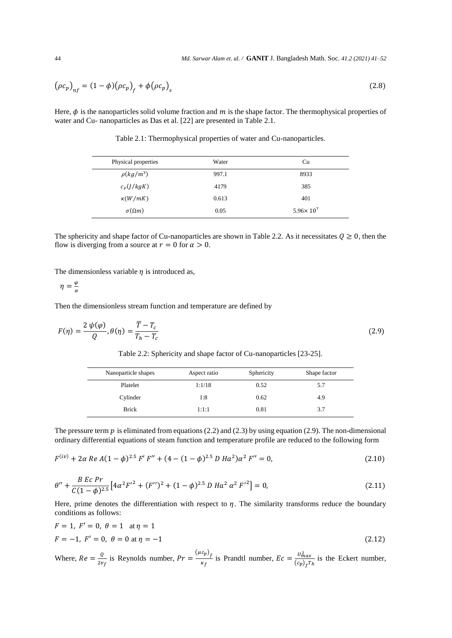$$
(\rho c_p)_{nf} = (1 - \phi)(\rho c_p)_f + \phi(\rho c_p)_s \tag{2.8}
$$

Here,  $\phi$  is the nanoparticles solid volume fraction and  $m$  is the shape factor. The thermophysical properties of water and Cu- nanoparticles as Das et al. [22] are presented in Table 2.1.

| Physical properties | Water | Cu                   |
|---------------------|-------|----------------------|
| $\rho(kg/m^3)$      | 997.1 | 8933                 |
| $c_P(J/kgK)$        | 4179  | 385                  |
| $\kappa(W/mK)$      | 0.613 | 401                  |
| $\sigma(\Omega m)$  | 0.05  | $5.96 \times 10^{7}$ |

Table 2.1: Thermophysical properties of water and Cu-nanoparticles.

The sphericity and shape factor of Cu-nanoparticles are shown in Table 2.2. As it necessitates  $Q \ge 0$ , then the flow is diverging from a source at  $r = 0$  for  $\alpha > 0$ .

The dimensionless variable  $\eta$  is introduced as,

$$
\eta = \frac{\varphi}{\alpha}
$$

 $\overline{a}$  $\overline{a}$ 

Then the dimensionless stream function and temperature are defined by

$$
F(\eta) = \frac{2 \psi(\varphi)}{Q}, \theta(\eta) = \frac{\overline{T} - T_c}{T_h - T_c}
$$
\n(2.9)

Table 2.2: Sphericity and shape factor of Cu-nanoparticles [23-25].

| Nanoparticle shapes | Aspect ratio | Sphericity | Shape factor |
|---------------------|--------------|------------|--------------|
| Platelet            | 1:1/18       | 0.52       | 5.7          |
| Cylinder            | 1:8          | 0.62       | 4.9          |
| <b>Brick</b>        | 1:1:1        | 0.81       | 3.7          |

The pressure term  $p$  is eliminated from equations (2.2) and (2.3) by using equation (2.9). The non-dimensional ordinary differential equations of steam function and temperature profile are reduced to the following form

$$
F^{(iv)} + 2\alpha \operatorname{Re} A (1 - \phi)^{2.5} F' F'' + (4 - (1 - \phi)^{2.5} D \operatorname{Ha}^2) \alpha^2 F'' = 0, \tag{2.10}
$$

$$
\theta'' + \frac{B\ Ec\ Pr}{C(1-\phi)^{2.5}} \left[ 4\alpha^2 F'^2 + (F'')^2 + (1-\phi)^{2.5} \ D\ Ha^2 \ \alpha^2 F'^2 \right] = 0,
$$
\n(2.11)

Here, prime denotes the differentiation with respect to  $\eta$ . The similarity transforms reduce the boundary conditions as follows:

$$
F = 1, F' = 0, \theta = 1 \text{ at } \eta = 1
$$
  

$$
F = -1, F' = 0, \theta = 0 \text{ at } \eta = -1
$$
 (2.12)

Where,  $Re = \frac{Q}{2m}$  $rac{Q}{2v_f}$  is Reynolds number,  $Pr = \frac{(\mu c_p)_f}{\kappa_f}$  $\frac{c_p}{\kappa_f}$  is Prandtl number,  $Ec = \frac{U_{max}^2}{(c_p)_f}$  $\frac{\sigma_{max}}{(c_p)_f T_h}$  is the Eckert number,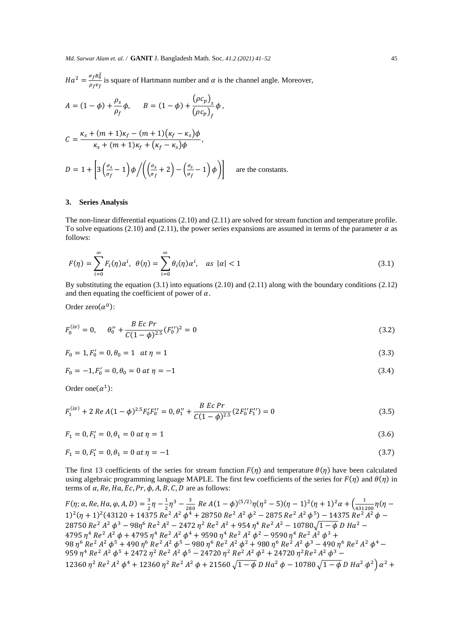$Ha^{2} = \frac{\sigma_{f}B_{0}^{2}}{2\pi}$  $\frac{\partial f \nu_0}{\partial f}$  is square of Hartmann number and  $\alpha$  is the channel angle. Moreover,

$$
A = (1 - \phi) + \frac{\rho_s}{\rho_f} \phi, \qquad B = (1 - \phi) + \frac{(\rho c_p)_s}{(\rho c_p)_f} \phi,
$$
  

$$
C = \frac{\kappa_s + (m + 1)\kappa_f - (m + 1)(\kappa_f - \kappa_s)\phi}{\kappa_s + (m + 1)\kappa_f + (\kappa_f - \kappa_s)\phi},
$$
  

$$
D = 1 + \left[3\left(\frac{\sigma_s}{\sigma_f} - 1\right)\phi / \left(\left(\frac{\sigma_s}{\sigma_f} + 2\right) - \left(\frac{\sigma_s}{\sigma_f} - 1\right)\phi\right)\right]
$$
 are the constants.

#### **3. Series Analysis**

The non-linear differential equations (2.10) and (2.11) are solved for stream function and temperature profile. To solve equations (2.10) and (2.11), the power series expansions are assumed in terms of the parameter  $\alpha$  as follows:

$$
F(\eta) = \sum_{i=0}^{\infty} F_i(\eta) \alpha^i, \ \theta(\eta) = \sum_{i=0}^{\infty} \theta_i(\eta) \alpha^i, \ \text{as } |\alpha| < 1 \tag{3.1}
$$

By substituting the equation (3.1) into equations (2.10) and (2.11) along with the boundary conditions (2.12) and then equating the coefficient of power of  $\alpha$ .

Order zero $(\alpha^0)$ :

$$
F_0^{(iv)} = 0, \quad \theta_0'' + \frac{B\ Ec\ Pr}{C(1-\phi)^{2.5}} (F_0'')^2 = 0 \tag{3.2}
$$

$$
F_0 = 1, F'_0 = 0, \theta_0 = 1 \quad at \eta = 1 \tag{3.3}
$$

$$
F_0 = -1, F'_0 = 0, \theta_0 = 0 \text{ at } \eta = -1 \tag{3.4}
$$

Order one $(\alpha^1)$ :

$$
F_1^{(iv)} + 2 \Re A (1 - \phi)^{2.5} F_0' F_0'' = 0, \theta_1'' + \frac{B \ E c \ Pr}{C (1 - \phi)^{2.5}} (2F_0'' F_1'') = 0 \tag{3.5}
$$

$$
F_1 = 0, F_1' = 0, \theta_1 = 0 \text{ at } \eta = 1 \tag{3.6}
$$

$$
F_1 = 0, F_1' = 0, \theta_1 = 0 \text{ at } \eta = -1 \tag{3.7}
$$

The first 13 coefficients of the series for stream function  $F(\eta)$  and temperature  $\theta(\eta)$  have been calculated using algebraic programming language MAPLE. The first few coefficients of the series for  $F(\eta)$  and  $\theta(\eta)$  in terms of  $\alpha$ ,  $Re$ ,  $Ha$ ,  $Ec$ ,  $Pr$ ,  $\phi$ ,  $A$ ,  $B$ ,  $C$ ,  $D$  are as follows:

 $F(\eta; \alpha, Re, Ha, \varphi, A, D) = \frac{3}{2}$  $rac{3}{2}\eta - \frac{1}{2}$  $rac{1}{2}\eta^3 - \frac{3}{28}$  $\frac{3}{280}$  Re A(1 − φ)<sup>(5/2)</sup> $η(η<sup>2</sup> – 5)(η – 1)<sup>2</sup>(η + 1)<sup>2</sup>α + ($ <sub>431:</sub>  $\frac{1}{431200}\eta(\eta 1)^2(\eta + 1)^2(43120 + 14375 \text{ Re}^2 \text{ } A^2 \text{ } \phi^4 + 28750 \text{ Re}^2 \text{ } A^2 \text{ } \phi^2 - 2875 \text{ Re}^2 \text{ } A^2 \text{ } \phi^5) - 14375 \text{ Re}^2 \text{ } A^2 \text{ } \phi -$ 28750 Re $^2$  A $^2$   $\phi^3$   $-$  98 $\eta^6$  Re $^2$  A $^2$   $-$  2472  $\eta^2$  Re $^2$  A $^2$   $+$  954  $\eta^4$  Re $^2$  A $^2$   $-$  10780 $\sqrt{1-\phi}$  D Ha $^2$   $4795\,\eta^4$  Re<sup>2</sup> A<sup>2</sup>  $\phi$  +  $4795\,\eta^4$  Re<sup>2</sup> A<sup>2</sup>  $\phi^4$  +  $9590\,\eta^4$  Re<sup>2</sup> A<sup>2</sup>  $\phi^2$  –  $9590\,\eta^4$  Re<sup>2</sup> A<sup>2</sup>  $\phi^3$  + 98  $\eta^6$  Re<sup>2</sup> A<sup>2</sup>  $\phi^5$  + 490  $\eta^6$  Re<sup>2</sup> A<sup>2</sup>  $\phi^5$  – 980  $\eta^6$  Re<sup>2</sup> A<sup>2</sup>  $\phi^2$  + 980  $\eta^6$  Re<sup>2</sup> A<sup>2</sup>  $\phi^3$  – 490  $\eta^6$  Re<sup>2</sup> A<sup>2</sup>  $\phi^4$  – 959  $\eta$ <sup>4</sup> Re<sup>2</sup> A<sup>2</sup>  $\phi$ <sup>5</sup> + 2472  $\eta$ <sup>2</sup> Re<sup>2</sup> A<sup>2</sup>  $\phi$ <sup>5</sup> – 24720  $\eta$ <sup>2</sup> Re<sup>2</sup> A<sup>2</sup>  $\phi$ <sup>2</sup> + 24720  $\eta$ <sup>2</sup>Re<sup>2</sup> A<sup>2</sup>  $\phi$ <sup>3</sup> – 12360 η<sup>2</sup> Re<sup>2</sup> A<sup>2</sup> φ<sup>4</sup> + 12360 η<sup>2</sup> Re<sup>2</sup> A<sup>2</sup> φ + 21560  $\sqrt{1-\phi}$  D Ha<sup>2</sup> φ - 10780  $\sqrt{1-\phi}$  D Ha<sup>2</sup> φ<sup>2</sup>) α<sup>2</sup> +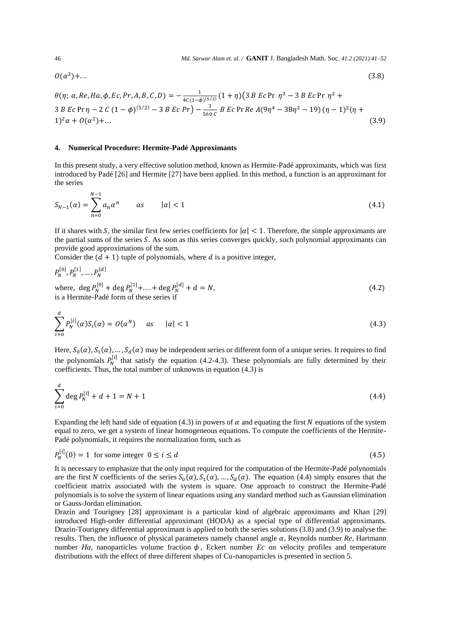46 *Md. Sarwar Alam et. al. /* **GANIT** J. Bangladesh Math. Soc. *41.2 (2021) 41–52*

$$
O(\alpha^3) + \dots \tag{3.8}
$$

$$
\theta(\eta; \alpha, Re, Ha, \phi, Ec, Pr, A, B, C, D) = -\frac{1}{4c(1-\phi)^{(5/2)}}(1+\eta)\left(3B\ Ec\ Pr\ \eta^3 - 3B\ Ec\ Pr\ \eta^2 + 3B\ Ec\ Pr\ \eta - 2C\ (1-\phi)^{(5/2)} - 3B\ Ec\ Pr\right) - \frac{3}{560\ C}B\ Ec\ Pr\ Re\ A(9\eta^4 - 38\eta^2 - 19)\ (\eta - 1)^2(\eta + 1)^2\alpha + O(\alpha^2) + \dots \tag{3.9}
$$

#### **4. Numerical Procedure: Hermite-Padé Approximants**

In this present study, a very effective solution method, known as Hermite-Padé approximants, which was first introduced by Padé [26] and Hermite [27] have been applied. In this method, a function is an approximant for the series

$$
S_{N-1}(\alpha) = \sum_{n=0}^{N-1} a_n \alpha^n \qquad \text{as} \qquad |\alpha| < 1 \tag{4.1}
$$

If it shares with S, the similar first few series coefficients for  $|\alpha| < 1$ . Therefore, the simple approximants are the partial sums of the series  $S$ . As soon as this series converges quickly, such polynomial approximants can provide good approximations of the sum.

Consider the  $(d + 1)$  tuple of polynomials, where d is a positive integer,

$$
P_N^{[0]}, P_N^{[1]}, \ldots, P_N^{[d]}
$$

where,  $\deg P_N^{[0]} + \deg P_N^{[1]} + \ldots + \deg P_N^{[d]} + d = N,$  (4.2) is a Hermite-Padé form of these series if

$$
\sum_{i=0}^{d} P_N^{[i]}(\alpha) S_i(\alpha) = O(\alpha^N) \quad \text{as} \quad |\alpha| < 1 \tag{4.3}
$$

Here,  $S_0(\alpha)$ ,  $S_1(\alpha)$ , ...,  $S_d(\alpha)$  may be independent series or different form of a unique series. It requires to find the polynomials  $P_N^{[i]}$  that satisfy the equation (4.2-4.3). These polynomials are fully determined by their coefficients. Thus, the total number of unknowns in equation (4.3) is

$$
\sum_{i=0}^{d} \deg P_N^{[i]} + d + 1 = N + 1 \tag{4.4}
$$

Expanding the left hand side of equation (4.3) in powers of  $\alpha$  and equating the first N equations of the system equal to zero, we get a system of linear homogeneous equations. To compute the coefficients of the Hermite-Padé polynomials, it requires the normalization form, such as

$$
P_N^{[l]}(0) = 1 \text{ for some integer } 0 \le i \le d \tag{4.5}
$$

It is necessary to emphasize that the only input required for the computation of the Hermite-Padé polynomials are the first N coefficients of the series  $S_0(\alpha)$ ,  $S_1(\alpha)$ , ...,  $S_d(\alpha)$ . The equation (4.4) simply ensures that the coefficient matrix associated with the system is square. One approach to construct the Hermite-Padé polynomials is to solve the system of linear equations using any standard method such as Gaussian elimination or Gauss-Jordan elimination.

Drazin and Tourigney [28] approximant is a particular kind of algebraic approximants and Khan [29] introduced High-order differential approximant (HODA) as a special type of differential approximants. Drazin-Tourigney differential approximant is applied to both the series solutions (3.8) and (3.9) to analyse the results. Then, the influence of physical parameters namely channel angle  $\alpha$ , Reynolds number  $Re$ , Hartmann number *Ha*, nanoparticles volume fraction  $\phi$ , Eckert number *Ec* on velocity profiles and temperature distributions with the effect of three different shapes of Cu-nanoparticles is presented in section 5.

 $\overline{a}$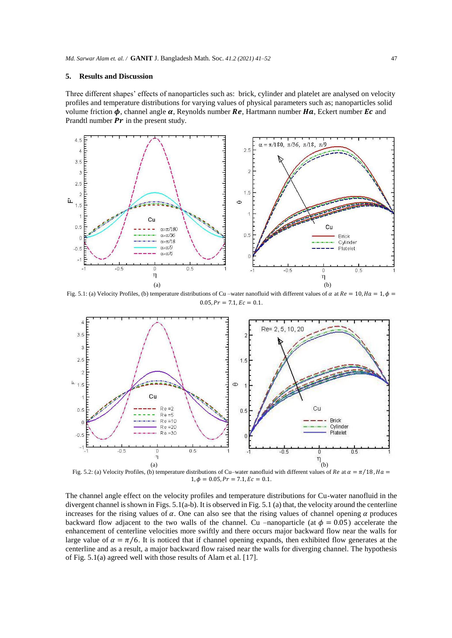#### **5. Results and Discussion**

Three different shapes' effects of nanoparticles such as: brick, cylinder and platelet are analysed on velocity profiles and temperature distributions for varying values of physical parameters such as; nanoparticles solid volume friction  $\phi$ , channel angle  $\alpha$ , Reynolds number Re, Hartmann number Ha, Eckert number Ec and Prandtl number  $Pr$  in the present study.



Fig. 5.1: (a) Velocity Profiles, (b) temperature distributions of Cu –water nanofluid with different values of  $\alpha$  at  $Re = 10$ ,  $Ha = 1$ ,  $\phi =$  $0.05, Pr = 7.1, Ec = 0.1.$ 



Fig. 5.2: (a) Velocity Profiles, (b) temperature distributions of Cu–water nanofluid with different values of Re at  $\alpha = \pi/18$ ,  $Ha =$  $1, \phi = 0.05, Pr = 7.1, Ec = 0.1.$ 

The channel angle effect on the velocity profiles and temperature distributions for Cu-water nanofluid in the divergent channel isshown in Figs. 5.1(a-b). It is observed in Fig. 5.1 (a) that, the velocity around the centerline increases for the rising values of  $\alpha$ . One can also see that the rising values of channel opening  $\alpha$  produces backward flow adjacent to the two walls of the channel. Cu –nanoparticle (at  $\phi = 0.05$ ) accelerate the enhancement of centerline velocities more swiftly and there occurs major backward flow near the walls for large value of  $\alpha = \pi/6$ . It is noticed that if channel opening expands, then exhibited flow generates at the centerline and as a result, a major backward flow raised near the walls for diverging channel. The hypothesis of Fig. 5.1(a) agreed well with those results of Alam et al. [17].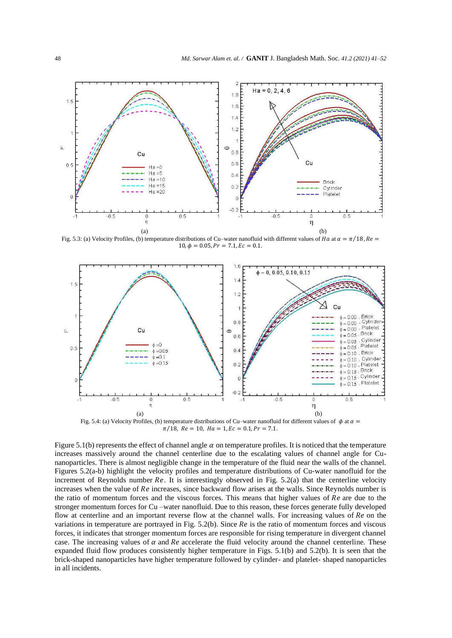

Fig. 5.3: (a) Velocity Profiles, (b) temperature distributions of Cu–water nanofluid with different values of Ha at  $\alpha = \pi/18$ ,  $Re =$  $10, \phi = 0.05, Pr = 7.1, Ec = 0.1.$ 



 $\pi/18$ ,  $Re = 10$ ,  $Ha = 1$ ,  $Ec = 0.1$ ,  $Pr = 7.1$ .

Figure 5.1(b) represents the effect of channel angle  $\alpha$  on temperature profiles. It is noticed that the temperature increases massively around the channel centerline due to the escalating values of channel angle for Cunanoparticles. There is almost negligible change in the temperature of the fluid near the walls of the channel. Figures 5.2(a-b) highlight the velocity profiles and temperature distributions of Cu-water nanofluid for the increment of Reynolds number  $Re$ . It is interestingly observed in Fig. 5.2(a) that the centerline velocity increases when the value of  $Re$  increases, since backward flow arises at the walls. Since Reynolds number is the ratio of momentum forces and the viscous forces. This means that higher values of  $Re$  are due to the stronger momentum forces for Cu –water nanofluid. Due to this reason, these forces generate fully developed flow at centerline and an important reverse flow at the channel walls. For increasing values of  $Re$  on the variations in temperature are portrayed in Fig.  $5.2(b)$ . Since Re is the ratio of momentum forces and viscous forces, it indicates that stronger momentum forces are responsible for rising temperature in divergent channel case. The increasing values of  $\alpha$  and  $\beta$  accelerate the fluid velocity around the channel centerline. These expanded fluid flow produces consistently higher temperature in Figs. 5.1(b) and 5.2(b). It is seen that the brick-shaped nanoparticles have higher temperature followed by cylinder- and platelet- shaped nanoparticles in all incidents.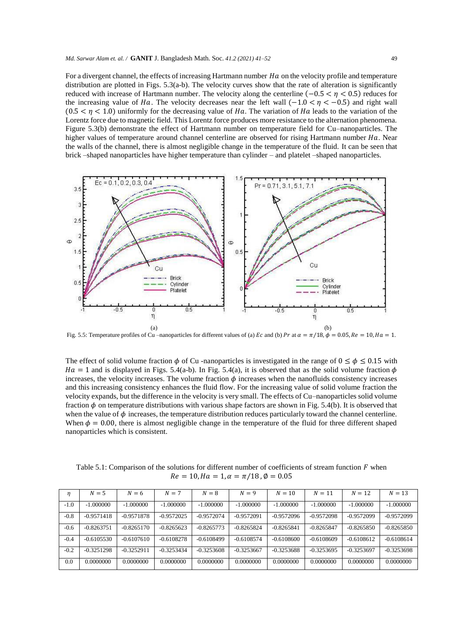For a divergent channel, the effects of increasing Hartmann number  $Ha$  on the velocity profile and temperature distribution are plotted in Figs. 5.3(a-b). The velocity curves show that the rate of alteration is significantly reduced with increase of Hartmann number. The velocity along the centerline ( $-0.5 < \eta < 0.5$ ) reduces for the increasing value of Ha. The velocity decreases near the left wall ( $-1.0 < \eta < -0.5$ ) and right wall  $(0.5 < \eta < 1.0)$  uniformly for the decreasing value of Ha. The variation of Ha leads to the variation of the Lorentz force due to magnetic field. This Lorentz force produces more resistance to the alternation phenomena. Figure 5.3(b) demonstrate the effect of Hartmann number on temperature field for Cu–nanoparticles. The higher values of temperature around channel centerline are observed for rising Hartmann number Ha. Near the walls of the channel, there is almost negligible change in the temperature of the fluid. It can be seen that brick –shaped nanoparticles have higher temperature than cylinder – and platelet –shaped nanoparticles.



Fig. 5.5: Temperature profiles of Cu –nanoparticles for different values of (a) Ec and (b) Pr at  $\alpha = \pi/18$ ,  $\phi = 0.05$ ,  $Re = 10$ ,  $Ha = 1$ .

The effect of solid volume fraction  $\phi$  of Cu -nanoparticles is investigated in the range of  $0 \le \phi \le 0.15$  with  $Ha = 1$  and is displayed in Figs. 5.4(a-b). In Fig. 5.4(a), it is observed that as the solid volume fraction  $\phi$ increases, the velocity increases. The volume fraction  $\phi$  increases when the nanofluids consistency increases and this increasing consistency enhances the fluid flow. For the increasing value of solid volume fraction the velocity expands, but the difference in the velocity is very small. The effects of Cu–nanoparticles solid volume fraction  $\phi$  on temperature distributions with various shape factors are shown in Fig. 5.4(b). It is observed that when the value of  $\phi$  increases, the temperature distribution reduces particularly toward the channel centerline. When  $\phi = 0.00$ , there is almost negligible change in the temperature of the fluid for three different shaped nanoparticles which is consistent.

Table 5.1: Comparison of the solutions for different number of coefficients of stream function  $F$  when  $Re = 10, Ha = 1, \alpha = \pi/18, \emptyset = 0.05$ 

| η      | $N=5$        | $N = 6$      | $N=7$        | $N = 8$      | $N = 9$      | $N = 10$     | $N = 11$     | $N = 12$     | $N = 13$     |
|--------|--------------|--------------|--------------|--------------|--------------|--------------|--------------|--------------|--------------|
| $-1.0$ | $-1.000000$  | $-1.000000$  | $-1.000000$  | $-1.000000$  | $-1.000000$  | $-1.000000$  | $-1.000000$  | $-1.000000$  | $-1.000000$  |
| $-0.8$ | $-0.9571418$ | $-0.9571878$ | $-0.9572025$ | $-0.9572074$ | $-0.9572091$ | $-0.9572096$ | $-0.9572098$ | $-0.9572099$ | $-0.9572099$ |
| $-0.6$ | $-0.8263751$ | $-0.8265170$ | $-0.8265623$ | $-0.8265773$ | $-0.8265824$ | $-0.8265841$ | $-0.8265847$ | $-0.8265850$ | $-0.8265850$ |
| $-0.4$ | $-0.6105530$ | $-0.6107610$ | $-0.6108278$ | $-0.6108499$ | $-0.6108574$ | $-0.6108600$ | $-0.6108609$ | $-0.6108612$ | $-0.6108614$ |
| $-0.2$ | $-0.3251298$ | $-0.3252911$ | $-0.3253434$ | $-0.3253608$ | $-0.3253667$ | $-0.3253688$ | $-0.3253695$ | $-0.3253697$ | $-0.3253698$ |
| 0.0    | 0.0000000    | 0.0000000    | 0.0000000    | 0.0000000    | 0.0000000    | 0.0000000    | 0.0000000    | 0.0000000    | 0.0000000    |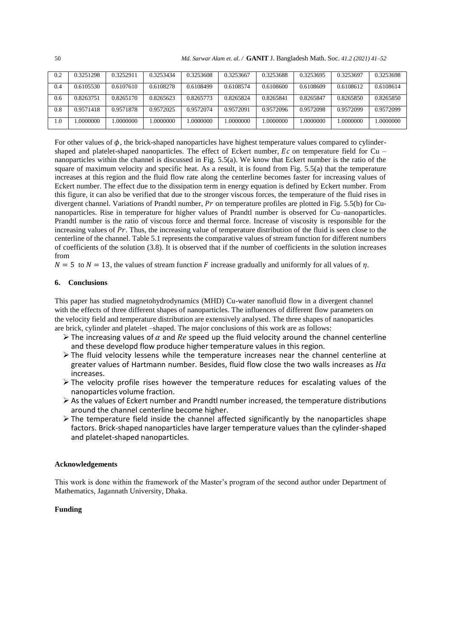| 0.2      | 0.3251298 | 0.3252911 | 0.3253434 | 0.3253608 | 0.3253667 | 0.3253688 | 0.3253695 | 0.3253697 | 0.3253698 |
|----------|-----------|-----------|-----------|-----------|-----------|-----------|-----------|-----------|-----------|
| 0.4      | 0.6105530 | 0.6107610 | 0.6108278 | 0.6108499 | 0.6108574 | 0.6108600 | 0.6108609 | 0.6108612 | 0.6108614 |
| 0.6      | 0.8263751 | 0.8265170 | 0.8265623 | 0.8265773 | 0.8265824 | 0.8265841 | 0.8265847 | 0.8265850 | 0.8265850 |
| $_{0.8}$ | 0.9571418 | 0.9571878 | 0.9572025 | 0.9572074 | 0.9572091 | 0.9572096 | 0.9572098 | 0.9572099 | 0.9572099 |
| 1.0      | .0000000  | .0000000  | 1.0000000 | .0000000  | .0000000  | 1.0000000 | 0000000   | 0000000   | 0000000   |

For other values of  $\phi$ , the brick-shaped nanoparticles have highest temperature values compared to cylindershaped and platelet-shaped nanoparticles. The effect of Eckert number,  $Ec$  on temperature field for Cu – nanoparticles within the channel is discussed in Fig. 5.5(a). We know that Eckert number is the ratio of the square of maximum velocity and specific heat. As a result, it is found from Fig. 5.5(a) that the temperature increases at this region and the fluid flow rate along the centerline becomes faster for increasing values of Eckert number. The effect due to the dissipation term in energy equation is defined by Eckert number. From this figure, it can also be verified that due to the stronger viscous forces, the temperature of the fluid rises in divergent channel. Variations of Prandtl number,  $Pr$  on temperature profiles are plotted in Fig. 5.5(b) for Cunanoparticles. Rise in temperature for higher values of Prandtl number is observed for Cu–nanoparticles. Prandtl number is the ratio of viscous force and thermal force. Increase of viscosity is responsible for the increasing values of  $Pr$ . Thus, the increasing value of temperature distribution of the fluid is seen close to the centerline of the channel. Table 5.1 represents the comparative values of stream function for different numbers of coefficients of the solution (3.8). It is observed that if the number of coefficients in the solution increases from

 $N = 5$  to  $N = 13$ , the values of stream function F increase gradually and uniformly for all values of  $\eta$ .

#### **6. Conclusions**

This paper has studied magnetohydrodynamics (MHD) Cu-water nanofluid flow in a divergent channel with the effects of three different shapes of nanoparticles. The influences of different flow parameters on the velocity field and temperature distribution are extensively analysed. The three shapes of nanoparticles are brick, cylinder and platelet –shaped. The major conclusions of this work are as follows:

- $\triangleright$  The increasing values of  $\alpha$  and  $Re$  speed up the fluid velocity around the channel centerline and these developd flow produce higher temperature values in this region.
- $\triangleright$  The fluid velocity lessens while the temperature increases near the channel centerline at greater values of Hartmann number. Besides, fluid flow close the two walls increases as  $Ha$ increases.
- $\triangleright$  The velocity profile rises however the temperature reduces for escalating values of the nanoparticles volume fraction.
- $\triangleright$  As the values of Eckert number and Prandtl number increased, the temperature distributions around the channel centerline become higher.
- $\triangleright$  The temperature field inside the channel affected significantly by the nanoparticles shape factors. Brick-shaped nanoparticles have larger temperature values than the cylinder-shaped and platelet-shaped nanoparticles.

#### **Acknowledgements**

This work is done within the framework of the Master's program of the second author under Department of Mathematics, Jagannath University, Dhaka.

### **Funding**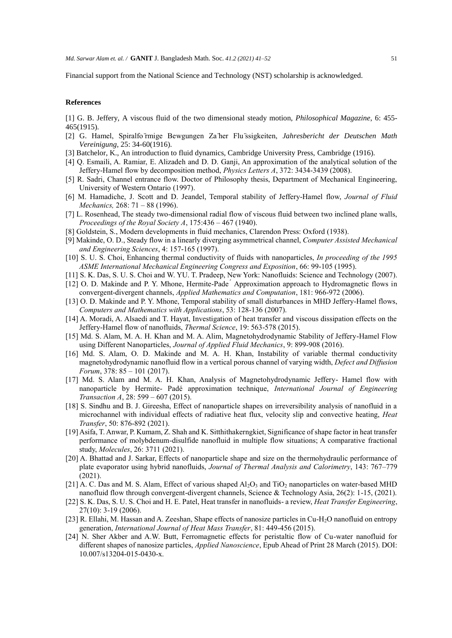Financial support from the National Science and Technology (NST) scholarship is acknowledged.

#### **References**

[1] G. B. Jeffery, A viscous fluid of the two dimensional steady motion, *Philosophical Magazine*, 6: 455- 465(1915).

- [2] G. Hamel, Spiralfo ̈rmige Bewgungen Za ̈her Flu ̈ssigkeiten, *Jahresbericht der Deutschen Math Vereinigung*, 25: 34-60(1916).
- [3] Batchelor, K., An introduction to fluid dynamics, Cambridge University Press, Cambridge (1916).
- [4] Q. Esmaili, A. Ramiar, E. Alizadeh and D. D. Ganji, An approximation of the analytical solution of the Jeffery-Hamel flow by decomposition method, *Physics Letters A*, 372: 3434-3439 (2008).
- [5] R. Sadri, Channel entrance flow. Doctor of Philosophy thesis, Department of Mechanical Engineering, University of Western Ontario (1997).
- [6] M. Hamadiche, J. Scott and D. Jeandel, Temporal stability of Jeffery-Hamel flow, *Journal of Fluid Mechanics,* 268: 71 – 88 (1996).
- [7] L. Rosenhead, The steady two-dimensional radial flow of viscous fluid between two inclined plane walls, *Proceedings of the Royal Society A*, 175:436 – 467 (1940).
- [8] Goldstein, S., Modern developments in fluid mechanics, Clarendon Press: Oxford (1938).
- [9] Makinde, O. D., Steady flow in a linearly diverging asymmetrical channel, *Computer Assisted Mechanical and Engineering Sciences*, 4: 157-165 (1997).
- [10] S. U. S. Choi, Enhancing thermal conductivity of fluids with nanoparticles, *In proceeding of the 1995 ASME International Mechanical Engineering Congress and Exposition*, 66: 99-105 (1995).
- [11] S. K. Das, S. U. S. Choi and W. YU. T. Pradeep, New York: Nanofluids: Science and Technology (2007).
- [12] O. D. Makinde and P. Y. Mhone, Hermite-Pade<sup>'</sup> Approximation approach to Hydromagnetic flows in convergent-divergent channels, *Applied Mathematics and Computation*, 181: 966-972 (2006).
- [13] O. D. Makinde and P. Y. Mhone, Temporal stability of small disturbances in MHD Jeffery-Hamel flows, *Computers and Mathematics with Applications*, 53: 128-136 (2007).
- [14] A. Moradi, A. Alsaedi and T. Hayat, Investigation of heat transfer and viscous dissipation effects on the Jeffery-Hamel flow of nanofluids, *Thermal Science*, 19: 563-578 (2015).
- [15] Md. S. Alam, M. A. H. Khan and M. A. Alim, Magnetohydrodynamic Stability of Jeffery-Hamel Flow using Different Nanoparticles, *Journal of Applied Fluid Mechanics*, 9: 899-908 (2016).
- [16] Md. S. Alam, O. D. Makinde and M. A. H. Khan, Instability of variable thermal conductivity magnetohydrodynamic nanofluid flow in a vertical porous channel of varying width, *Defect and Diffusion Forum*, 378: 85 – 101 (2017).
- [17] Md. S. Alam and M. A. H. Khan, Analysis of Magnetohydrodynamic Jeffery- Hamel flow with nanoparticle by Hermite- Padé approximation technique, *International Journal of Engineering Transaction A*, 28: 599 – 607 (2015).
- [18] S. Sindhu and B. J. Gireesha, Effect of nanoparticle shapes on irreversibility analysis of nanofluid in a microchannel with individual effects of radiative heat flux, velocity slip and convective heating, *Heat Transfer*, 50: 876-892 (2021).
- [19] Asifa, T. Anwar, P. Kumam, Z. Shah and K. Sitthithakerngkiet, Significance of shape factor in heat transfer performance of molybdenum-disulfide nanofluid in multiple flow situations; A comparative fractional study, *Molecules*, 26: 3711 (2021).
- [20] A. Bhattad and J. Sarkar, Effects of nanoparticle shape and size on the thermohydraulic performance of plate evaporator using hybrid nanofluids, *Journal of Thermal Analysis and Calorimetry*, 143: 767–779 (2021).
- [21] A. C. Das and M. S. Alam, Effect of various shaped  $Al_2O_3$  and TiO<sub>2</sub> nanoparticles on water-based MHD nanofluid flow through convergent-divergent channels, Science & Technology Asia, 26(2): 1-15, (2021).
- [22] S. K. Das, S. U. S. Choi and H. E. Patel, Heat transfer in nanofluids- a review, *Heat Transfer Engineering*, 27(10): 3-19 (2006).
- [23] R. Ellahi, M. Hassan and A. Zeeshan, Shape effects of nanosize particles in Cu-H2O nanofluid on entropy generation, *International Journal of Heat Mass Transfer*, 81: 449-456 (2015).
- [24] N. Sher Akber and A.W. Butt, Ferromagnetic effects for peristaltic flow of Cu-water nanofluid for different shapes of nanosize particles, *Applied Nanoscience*, Epub Ahead of Print 28 March (2015). DOI: 10.007/s13204-015-0430-x.